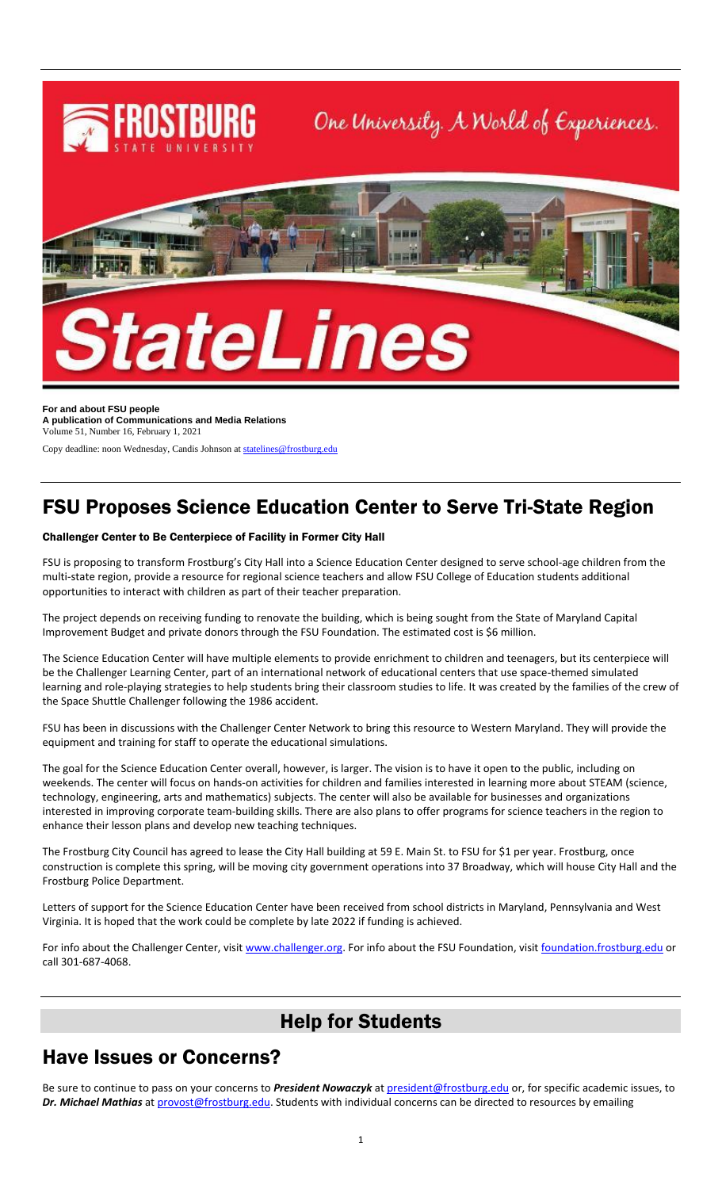

**For and about FSU people A publication of Communications and Media Relations** Volume 51, Number 16, February 1, 2021

Copy deadline: noon Wednesday, Candis Johnson a[t statelines@frostburg.edu](mailto:statelines@frostburg.edu)

# FSU Proposes Science Education Center to Serve Tri-State Region

#### Challenger Center to Be Centerpiece of Facility in Former City Hall

FSU is proposing to transform Frostburg's City Hall into a Science Education Center designed to serve school-age children from the multi-state region, provide a resource for regional science teachers and allow FSU College of Education students additional opportunities to interact with children as part of their teacher preparation.

The project depends on receiving funding to renovate the building, which is being sought from the State of Maryland Capital Improvement Budget and private donors through the FSU Foundation. The estimated cost is \$6 million.

The Science Education Center will have multiple elements to provide enrichment to children and teenagers, but its centerpiece will be the Challenger Learning Center, part of an international network of educational centers that use space-themed simulated learning and role-playing strategies to help students bring their classroom studies to life. It was created by the families of the crew of the Space Shuttle Challenger following the 1986 accident.

FSU has been in discussions with the Challenger Center Network to bring this resource to Western Maryland. They will provide the equipment and training for staff to operate the educational simulations.

The goal for the Science Education Center overall, however, is larger. The vision is to have it open to the public, including on weekends. The center will focus on hands-on activities for children and families interested in learning more about STEAM (science, technology, engineering, arts and mathematics) subjects. The center will also be available for businesses and organizations interested in improving corporate team-building skills. There are also plans to offer programs for science teachers in the region to enhance their lesson plans and develop new teaching techniques.

The Frostburg City Council has agreed to lease the City Hall building at 59 E. Main St. to FSU for \$1 per year. Frostburg, once construction is complete this spring, will be moving city government operations into 37 Broadway, which will house City Hall and the Frostburg Police Department.

Letters of support for the Science Education Center have been received from school districts in Maryland, Pennsylvania and West Virginia. It is hoped that the work could be complete by late 2022 if funding is achieved.

For info about the Challenger Center, visit [www.challenger.org.](http://www.challenger.org/) For info about the FSU Foundation, visit [foundation.frostburg.edu](https://www.frostburg.edu/foundation) or call 301-687-4068.

### Help for Students

### Have Issues or Concerns?

Be sure to continue to pass on your concerns to *President Nowaczyk* at [president@frostburg.edu](mailto:president@frostburg.edu) or, for specific academic issues, to *Dr. Michael Mathias* a[t provost@frostburg.edu.](mailto:provost@frostburg.edu) Students with individual concerns can be directed to resources by emailing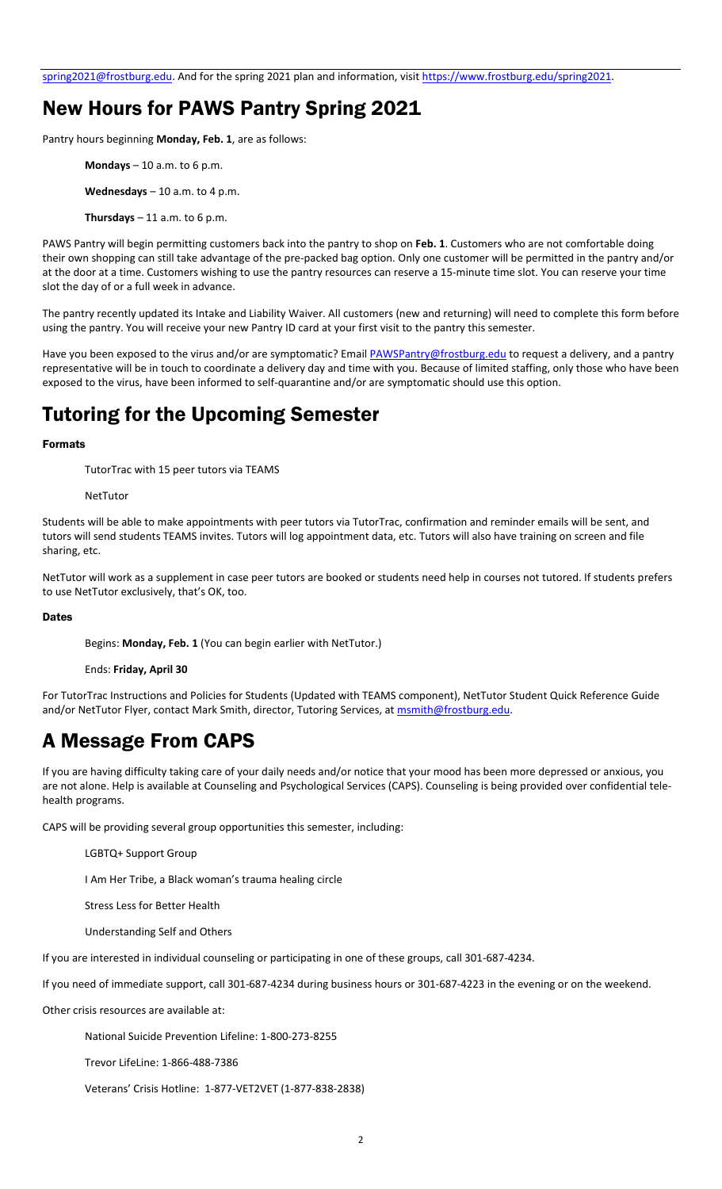[spring2021@frostburg.edu.](mailto:spring2021@frostburg.edu) And for the spring 2021 plan and information, visit [https://www.frostburg.edu/spring2021.](https://www.frostburg.edu/spring2021) 

### New Hours for PAWS Pantry Spring 2021

Pantry hours beginning **Monday, Feb. 1**, are as follows:

- **Mondays** 10 a.m. to 6 p.m.
- **Wednesdays** 10 a.m. to 4 p.m.
- **Thursdays**  $-11$  a.m. to 6 p.m.

PAWS Pantry will begin permitting customers back into the pantry to shop on **Feb. 1**. Customers who are not comfortable doing their own shopping can still take advantage of the pre-packed bag option. Only one customer will be permitted in the pantry and/or at the door at a time. Customers wishing to use the pantry resources can reserve a 15-minute time slot. You can reserve your time slot the day of or a full week in advance.

The pantry recently updated its Intake and Liability Waiver. All customers (new and returning) will need to complete this form before using the pantry. You will receive your new Pantry ID card at your first visit to the pantry this semester.

Have you been exposed to the virus and/or are symptomatic? Emai[l PAWSPantry@frostburg.edu](mailto:PAWSPantry@frostburg.edu) to request a delivery, and a pantry representative will be in touch to coordinate a delivery day and time with you. Because of limited staffing, only those who have been exposed to the virus, have been informed to self-quarantine and/or are symptomatic should use this option.

## Tutoring for the Upcoming Semester

#### Formats

TutorTrac with 15 peer tutors via TEAMS

NetTutor

Students will be able to make appointments with peer tutors via TutorTrac, confirmation and reminder emails will be sent, and tutors will send students TEAMS invites. Tutors will log appointment data, etc. Tutors will also have training on screen and file sharing, etc.

NetTutor will work as a supplement in case peer tutors are booked or students need help in courses not tutored. If students prefers to use NetTutor exclusively, that's OK, too.

#### **Dates**

Begins: **Monday, Feb. 1** (You can begin earlier with NetTutor.)

#### Ends: **Friday, April 30**

For TutorTrac Instructions and Policies for Students (Updated with TEAMS component), NetTutor Student Quick Reference Guide and/or NetTutor Flyer, contact Mark Smith, director, Tutoring Services, a[t msmith@frostburg.edu.](mailto:msmith@frostburg.edu)

## A Message From CAPS

If you are having difficulty taking care of your daily needs and/or notice that your mood has been more depressed or anxious, you are not alone. Help is available at Counseling and Psychological Services (CAPS). Counseling is being provided over confidential telehealth programs.

CAPS will be providing several group opportunities this semester, including:

- LGBTQ+ Support Group
- I Am Her Tribe, a Black woman's trauma healing circle
- Stress Less for Better Health
- Understanding Self and Others

If you are interested in individual counseling or participating in one of these groups, call 301-687-4234.

If you need of immediate support, call 301-687-4234 during business hours or 301-687-4223 in the evening or on the weekend.

Other crisis resources are available at:

National Suicide Prevention Lifeline: 1-800-273-8255

Trevor LifeLine: 1-866-488-7386

Veterans' Crisis Hotline: 1-877-VET2VET (1-877-838-2838)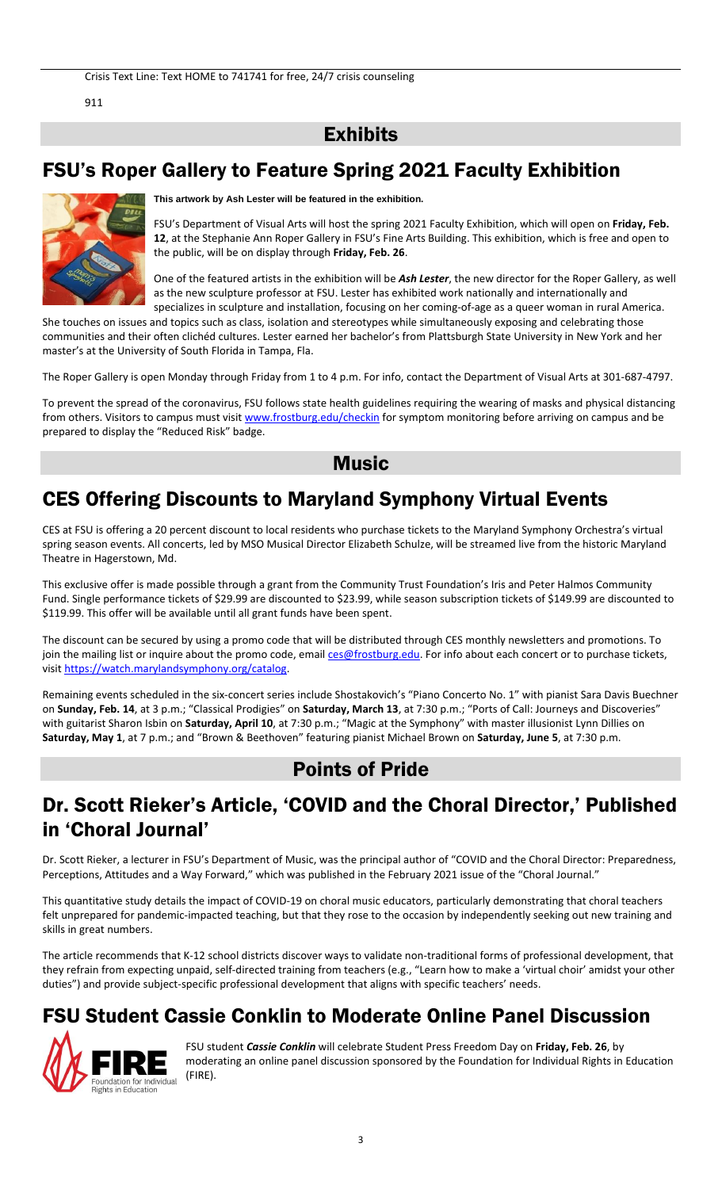911

### **Exhibits**

## FSU's Roper Gallery to Feature Spring 2021 Faculty Exhibition



**This artwork by Ash Lester will be featured in the exhibition.**

FSU's Department of Visual Arts will host the spring 2021 Faculty Exhibition, which will open on **Friday, Feb. 12**, at the Stephanie Ann Roper Gallery in FSU's Fine Arts Building. This exhibition, which is free and open to the public, will be on display through **Friday, Feb. 26**.

One of the featured artists in the exhibition will be *Ash Lester*, the new director for the Roper Gallery, as well as the new sculpture professor at FSU. Lester has exhibited work nationally and internationally and specializes in sculpture and installation, focusing on her coming-of-age as a queer woman in rural America.

She touches on issues and topics such as class, isolation and stereotypes while simultaneously exposing and celebrating those communities and their often clichéd cultures. Lester earned her bachelor's from Plattsburgh State University in New York and her master's at the University of South Florida in Tampa, Fla.

The Roper Gallery is open Monday through Friday from 1 to 4 p.m. For info, contact the Department of Visual Arts at 301-687-4797.

To prevent the spread of the coronavirus, FSU follows state health guidelines requiring the wearing of masks and physical distancing from others. Visitors to campus must visi[t www.frostburg.edu/checkin](http://www.frostburg.edu/checkin) for symptom monitoring before arriving on campus and be prepared to display the "Reduced Risk" badge.

### **Music**

# CES Offering Discounts to Maryland Symphony Virtual Events

CES at FSU is offering a 20 percent discount to local residents who purchase tickets to the Maryland Symphony Orchestra's virtual spring season events. All concerts, led by MSO Musical Director Elizabeth Schulze, will be streamed live from the historic Maryland Theatre in Hagerstown, Md.

This exclusive offer is made possible through a grant from the Community Trust Foundation's Iris and Peter Halmos Community Fund. Single performance tickets of \$29.99 are discounted to \$23.99, while season subscription tickets of \$149.99 are discounted to \$119.99. This offer will be available until all grant funds have been spent.

The discount can be secured by using a promo code that will be distributed through CES monthly newsletters and promotions. To join the mailing list or inquire about the promo code, email [ces@frostburg.edu.](mailto:ces@frostburg.edu) For info about each concert or to purchase tickets, visi[t https://watch.marylandsymphony.org/catalog.](https://watch.marylandsymphony.org/catalog)

Remaining events scheduled in the six-concert series include Shostakovich's "Piano Concerto No. 1" with pianist Sara Davis Buechner on **Sunday, Feb. 14**, at 3 p.m.; "Classical Prodigies" on **Saturday, March 13**, at 7:30 p.m.; "Ports of Call: Journeys and Discoveries" with guitarist Sharon Isbin on **Saturday, April 10**, at 7:30 p.m.; "Magic at the Symphony" with master illusionist Lynn Dillies on **Saturday, May 1**, at 7 p.m.; and "Brown & Beethoven" featuring pianist Michael Brown on **Saturday, June 5**, at 7:30 p.m.

### Points of Pride

## Dr. Scott Rieker's Article, 'COVID and the Choral Director,' Published in 'Choral Journal'

Dr. Scott Rieker, a lecturer in FSU's Department of Music, was the principal author of "COVID and the Choral Director: Preparedness, Perceptions, Attitudes and a Way Forward," which was published in the February 2021 issue of the "Choral Journal."

This quantitative study details the impact of COVID-19 on choral music educators, particularly demonstrating that choral teachers felt unprepared for pandemic-impacted teaching, but that they rose to the occasion by independently seeking out new training and skills in great numbers.

The article recommends that K-12 school districts discover ways to validate non-traditional forms of professional development, that they refrain from expecting unpaid, self-directed training from teachers (e.g., "Learn how to make a 'virtual choir' amidst your other duties") and provide subject-specific professional development that aligns with specific teachers' needs.

# FSU Student Cassie Conklin to Moderate Online Panel Discussion



FSU student *Cassie Conklin* will celebrate Student Press Freedom Day on **Friday, Feb. 26**, by moderating an online panel discussion sponsored by the Foundation for Individual Rights in Education (FIRE).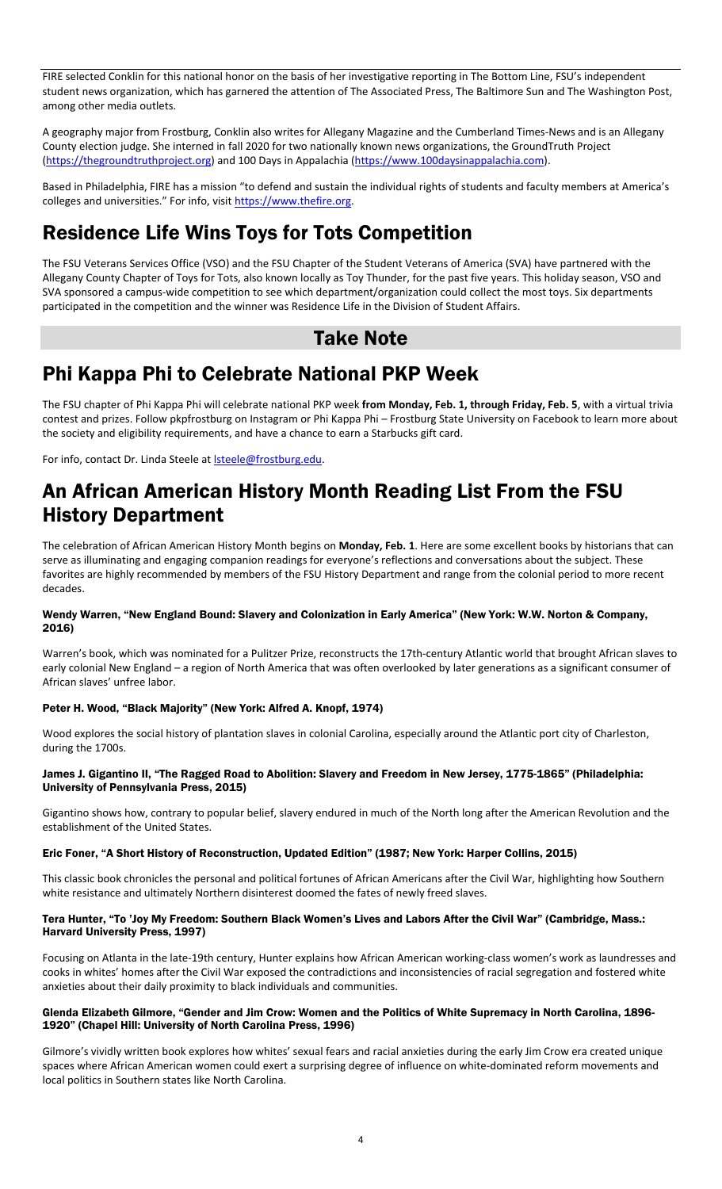FIRE selected Conklin for this national honor on the basis of her investigative reporting in The Bottom Line, FSU's independent student news organization, which has garnered the attention of The Associated Press, The Baltimore Sun and The Washington Post, among other media outlets.

A geography major from Frostburg, Conklin also writes for Allegany Magazine and the Cumberland Times-News and is an Allegany County election judge. She interned in fall 2020 for two nationally known news organizations, the GroundTruth Project [\(https://thegroundtruthproject.org\)](https://thegroundtruthproject.org/) and 100 Days in Appalachia [\(https://www.100daysinappalachia.com\)](https://www.100daysinappalachia.com/).

Based in Philadelphia, FIRE has a mission "to defend and sustain the individual rights of students and faculty members at America's colleges and universities." For info, visit [https://www.thefire.org.](https://www.thefire.org/)

# Residence Life Wins Toys for Tots Competition

The FSU Veterans Services Office (VSO) and the FSU Chapter of the Student Veterans of America (SVA) have partnered with the Allegany County Chapter of Toys for Tots, also known locally as Toy Thunder, for the past five years. This holiday season, VSO and SVA sponsored a campus-wide competition to see which department/organization could collect the most toys. Six departments participated in the competition and the winner was Residence Life in the Division of Student Affairs.

### Take Note

## Phi Kappa Phi to Celebrate National PKP Week

The FSU chapter of Phi Kappa Phi will celebrate national PKP week **from Monday, Feb. 1, through Friday, Feb. 5**, with a virtual trivia contest and prizes. Follow pkpfrostburg on Instagram or Phi Kappa Phi – Frostburg State University on Facebook to learn more about the society and eligibility requirements, and have a chance to earn a Starbucks gift card.

For info, contact Dr. Linda Steele at **Isteele@frostburg.edu**.

## An African American History Month Reading List From the FSU History Department

The celebration of African American History Month begins on **Monday, Feb. 1**. Here are some excellent books by historians that can serve as illuminating and engaging companion readings for everyone's reflections and conversations about the subject. These favorites are highly recommended by members of the FSU History Department and range from the colonial period to more recent decades.

#### Wendy Warren, "New England Bound: Slavery and Colonization in Early America" (New York: W.W. Norton & Company, 2016)

Warren's book, which was nominated for a Pulitzer Prize, reconstructs the 17th-century Atlantic world that brought African slaves to early colonial New England – a region of North America that was often overlooked by later generations as a significant consumer of African slaves' unfree labor.

#### Peter H. Wood, "Black Majority" (New York: Alfred A. Knopf, 1974)

Wood explores the social history of plantation slaves in colonial Carolina, especially around the Atlantic port city of Charleston, during the 1700s.

#### James J. Gigantino II, "The Ragged Road to Abolition: Slavery and Freedom in New Jersey, 1775-1865" (Philadelphia: University of Pennsylvania Press, 2015)

Gigantino shows how, contrary to popular belief, slavery endured in much of the North long after the American Revolution and the establishment of the United States.

#### Eric Foner, "A Short History of Reconstruction, Updated Edition" (1987; New York: Harper Collins, 2015)

This classic book chronicles the personal and political fortunes of African Americans after the Civil War, highlighting how Southern white resistance and ultimately Northern disinterest doomed the fates of newly freed slaves.

#### Tera Hunter, "To 'Joy My Freedom: Southern Black Women's Lives and Labors After the Civil War" (Cambridge, Mass.: Harvard University Press, 1997)

Focusing on Atlanta in the late-19th century, Hunter explains how African American working-class women's work as laundresses and cooks in whites' homes after the Civil War exposed the contradictions and inconsistencies of racial segregation and fostered white anxieties about their daily proximity to black individuals and communities.

#### Glenda Elizabeth Gilmore, "Gender and Jim Crow: Women and the Politics of White Supremacy in North Carolina, 1896- 1920" (Chapel Hill: University of North Carolina Press, 1996)

Gilmore's vividly written book explores how whites' sexual fears and racial anxieties during the early Jim Crow era created unique spaces where African American women could exert a surprising degree of influence on white-dominated reform movements and local politics in Southern states like North Carolina.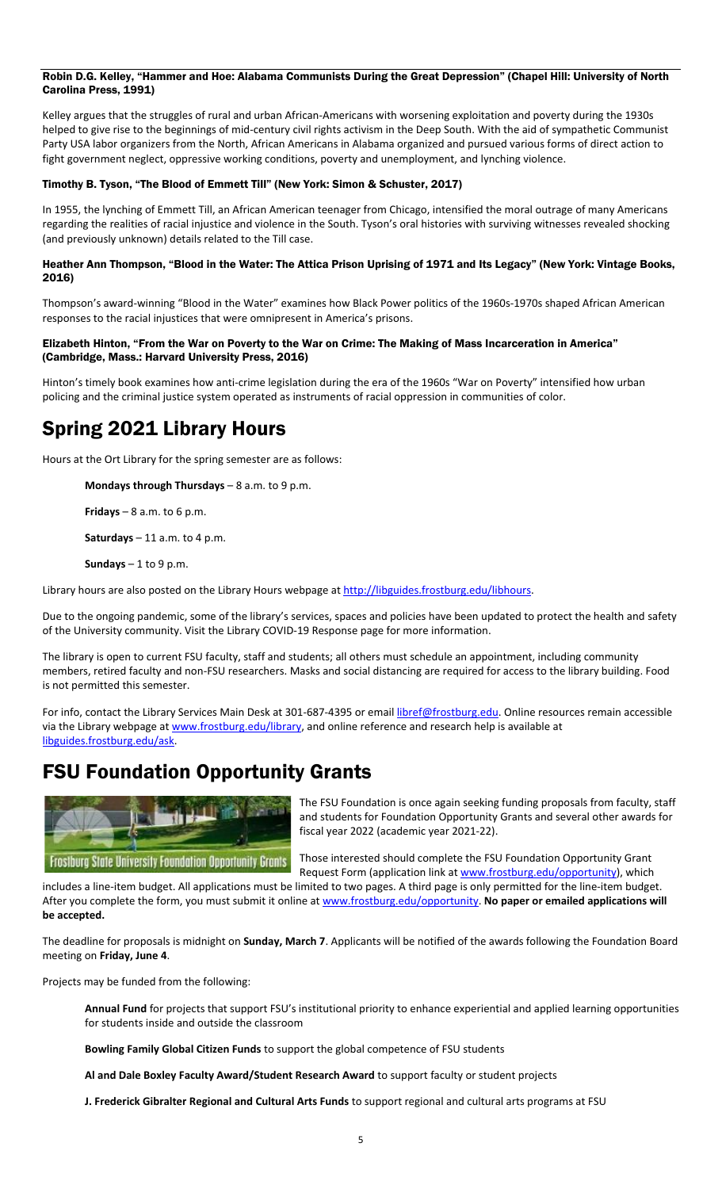#### Robin D.G. Kelley, "Hammer and Hoe: Alabama Communists During the Great Depression" (Chapel Hill: University of North Carolina Press, 1991)

Kelley argues that the struggles of rural and urban African-Americans with worsening exploitation and poverty during the 1930s helped to give rise to the beginnings of mid-century civil rights activism in the Deep South. With the aid of sympathetic Communist Party USA labor organizers from the North, African Americans in Alabama organized and pursued various forms of direct action to fight government neglect, oppressive working conditions, poverty and unemployment, and lynching violence.

#### Timothy B. Tyson, "The Blood of Emmett Till" (New York: Simon & Schuster, 2017)

In 1955, the lynching of Emmett Till, an African American teenager from Chicago, intensified the moral outrage of many Americans regarding the realities of racial injustice and violence in the South. Tyson's oral histories with surviving witnesses revealed shocking (and previously unknown) details related to the Till case.

#### Heather Ann Thompson, "Blood in the Water: The Attica Prison Uprising of 1971 and Its Legacy" (New York: Vintage Books, 2016)

Thompson's award-winning "Blood in the Water" examines how Black Power politics of the 1960s-1970s shaped African American responses to the racial injustices that were omnipresent in America's prisons.

#### Elizabeth Hinton, "From the War on Poverty to the War on Crime: The Making of Mass Incarceration in America" (Cambridge, Mass.: Harvard University Press, 2016)

Hinton's timely book examines how anti-crime legislation during the era of the 1960s "War on Poverty" intensified how urban policing and the criminal justice system operated as instruments of racial oppression in communities of color.

## Spring 2021 Library Hours

Hours at the Ort Library for the spring semester are as follows:

**Mondays through Thursdays** – 8 a.m. to 9 p.m.

**Fridays** – 8 a.m. to 6 p.m.

**Saturdays** – 11 a.m. to 4 p.m.

**Sundays** – 1 to 9 p.m.

Library hours are also posted on the Library Hours webpage at [http://libguides.frostburg.edu/libhours.](http://libguides.frostburg.edu/libhours)

Due to the ongoing pandemic, some of the library's services, spaces and policies have been updated to protect the health and safety of the University community. Visit the Library COVID-19 Response page for more information.

The library is open to current FSU faculty, staff and students; all others must schedule an appointment, including community members, retired faculty and non-FSU researchers. Masks and social distancing are required for access to the library building. Food is not permitted this semester.

For info, contact the Library Services Main Desk at 301-687-4395 or emai[l libref@frostburg.edu.](mailto:libref@frostburg.edu) Online resources remain accessible via the Library webpage at [www.frostburg.edu/library,](http://www.frostburg.edu/library) and online reference and research help is available at [libguides.frostburg.edu/ask.](https://frostburg.libanswers.com/)

### FSU Foundation Opportunity Grants



The FSU Foundation is once again seeking funding proposals from faculty, staff and students for Foundation Opportunity Grants and several other awards for fiscal year 2022 (academic year 2021-22).

Those interested should complete the FSU Foundation Opportunity Grant Request Form (application link a[t www.frostburg.edu/opportunity\)](https://forms.frostburg.edu/21), which

includes a line-item budget. All applications must be limited to two pages. A third page is only permitted for the line-item budget. After you complete the form, you must submit it online a[t www.frostburg.edu/opportunity.](https://forms.frostburg.edu/21) **No paper or emailed applications will be accepted.**

The deadline for proposals is midnight on **Sunday, March 7**. Applicants will be notified of the awards following the Foundation Board meeting on **Friday, June 4**.

Projects may be funded from the following:

**Annual Fund** for projects that support FSU's institutional priority to enhance experiential and applied learning opportunities for students inside and outside the classroom

**Bowling Family Global Citizen Funds** to support the global competence of FSU students

**Al and Dale Boxley Faculty Award/Student Research Award** to support faculty or student projects

**J. Frederick Gibralter Regional and Cultural Arts Funds** to support regional and cultural arts programs at FSU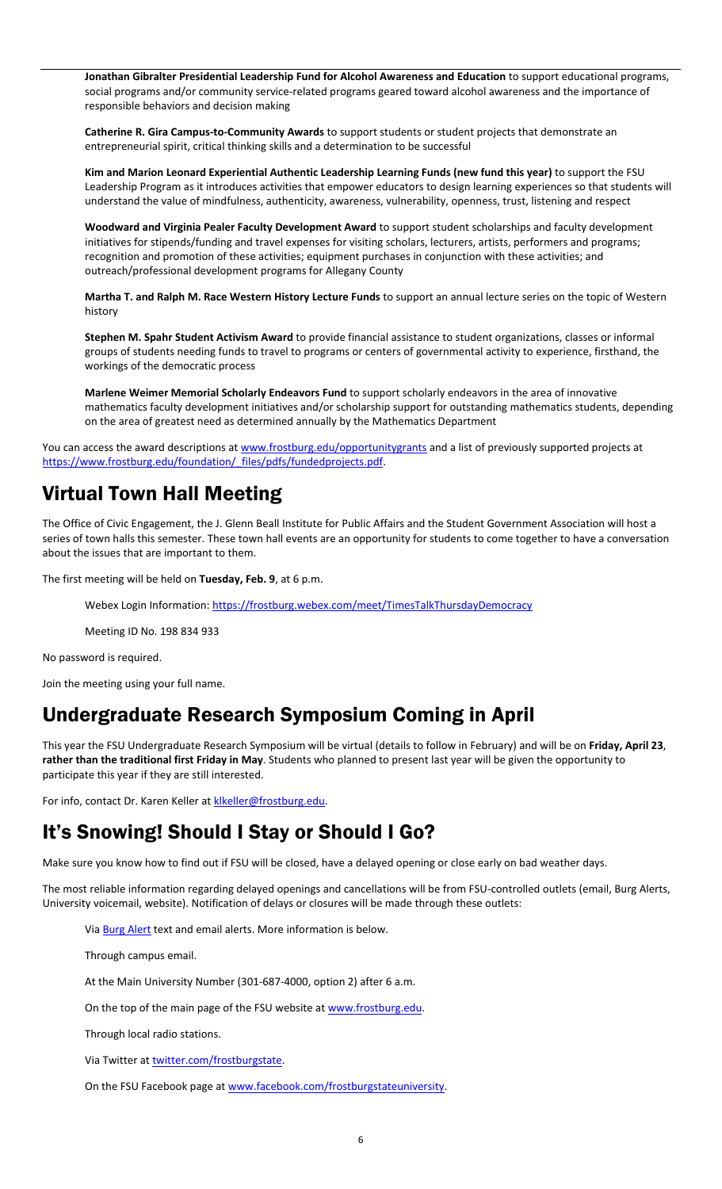**Jonathan Gibralter Presidential Leadership Fund for Alcohol Awareness and Education** to support educational programs, social programs and/or community service-related programs geared toward alcohol awareness and the importance of responsible behaviors and decision making

**Catherine R. Gira Campus-to-Community Awards** to support students or student projects that demonstrate an entrepreneurial spirit, critical thinking skills and a determination to be successful

**Kim and Marion Leonard Experiential Authentic Leadership Learning Funds (new fund this year)** to support the FSU Leadership Program as it introduces activities that empower educators to design learning experiences so that students will understand the value of mindfulness, authenticity, awareness, vulnerability, openness, trust, listening and respect

**Woodward and Virginia Pealer Faculty Development Award** to support student scholarships and faculty development initiatives for stipends/funding and travel expenses for visiting scholars, lecturers, artists, performers and programs; recognition and promotion of these activities; equipment purchases in conjunction with these activities; and outreach/professional development programs for Allegany County

**Martha T. and Ralph M. Race Western History Lecture Funds** to support an annual lecture series on the topic of Western history

**Stephen M. Spahr Student Activism Award** to provide financial assistance to student organizations, classes or informal groups of students needing funds to travel to programs or centers of governmental activity to experience, firsthand, the workings of the democratic process

**Marlene Weimer Memorial Scholarly Endeavors Fund** to support scholarly endeavors in the area of innovative mathematics faculty development initiatives and/or scholarship support for outstanding mathematics students, depending on the area of greatest need as determined annually by the Mathematics Department

You can access the award descriptions at [www.frostburg.edu/opportunitygrants](https://www.frostburg.edu/foundation/Annual-Fund/opportunity-grants.php) and a list of previously supported projects at [https://www.frostburg.edu/foundation/\\_files/pdfs/fundedprojects.pdf.](https://www.frostburg.edu/foundation/_files/pdfs/fundedprojects.pdf)

# Virtual Town Hall Meeting

The Office of Civic Engagement, the J. Glenn Beall Institute for Public Affairs and the Student Government Association will host a series of town halls this semester. These town hall events are an opportunity for students to come together to have a conversation about the issues that are important to them.

The first meeting will be held on **Tuesday, Feb. 9**, at 6 p.m.

Webex Login Information:<https://frostburg.webex.com/meet/TimesTalkThursdayDemocracy>

Meeting ID No. 198 834 933

No password is required.

Join the meeting using your full name.

### Undergraduate Research Symposium Coming in April

This year the FSU Undergraduate Research Symposium will be virtual (details to follow in February) and will be on **Friday, April 23**, **rather than the traditional first Friday in May**. Students who planned to present last year will be given the opportunity to participate this year if they are still interested.

For info, contact Dr. Karen Keller at klkeller@frostburg.edu.

## It's Snowing! Should I Stay or Should I Go?

Make sure you know how to find out if FSU will be closed, have a delayed opening or close early on bad weather days.

The most reliable information regarding delayed openings and cancellations will be from FSU-controlled outlets (email, Burg Alerts, University voicemail, website). Notification of delays or closures will be made through these outlets:

Via **Burg Alert** text and email alerts. More information is below.

Through campus email.

At the Main University Number (301-687-4000, option 2) after 6 a.m.

On the top of the main page of the FSU website at [www.frostburg.edu.](http://www.frostburg.edu/)

Through local radio stations.

Via Twitter at **twitter.com/frostburgstate**.

On the FSU Facebook page a[t www.facebook.com/frostburgstateuniversity.](http://www.facebook.com/frostburgstateuniversity)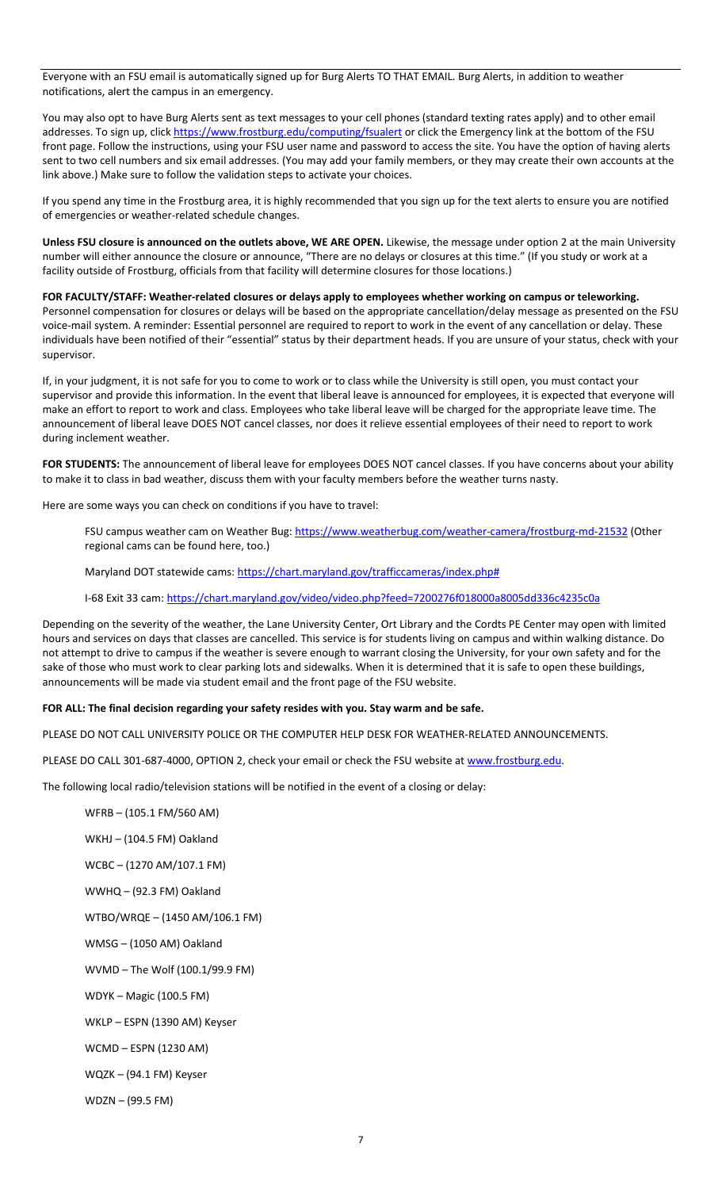Everyone with an FSU email is automatically signed up for Burg Alerts TO THAT EMAIL. Burg Alerts, in addition to weather notifications, alert the campus in an emergency.

You may also opt to have Burg Alerts sent as text messages to your cell phones (standard texting rates apply) and to other email addresses. To sign up, clic[k https://www.frostburg.edu/computing/fsualert](https://www.frostburg.edu/computing/fsualert) or click the Emergency link at the bottom of the FSU front page. Follow the instructions, using your FSU user name and password to access the site. You have the option of having alerts sent to two cell numbers and six email addresses. (You may add your family members, or they may create their own accounts at the link above.) Make sure to follow the validation steps to activate your choices.

If you spend any time in the Frostburg area, it is highly recommended that you sign up for the text alerts to ensure you are notified of emergencies or weather-related schedule changes.

**Unless FSU closure is announced on the outlets above, WE ARE OPEN.** Likewise, the message under option 2 at the main University number will either announce the closure or announce, "There are no delays or closures at this time." (If you study or work at a facility outside of Frostburg, officials from that facility will determine closures for those locations.)

**FOR FACULTY/STAFF: Weather-related closures or delays apply to employees whether working on campus or teleworking.** Personnel compensation for closures or delays will be based on the appropriate cancellation/delay message as presented on the FSU voice-mail system. A reminder: Essential personnel are required to report to work in the event of any cancellation or delay. These individuals have been notified of their "essential" status by their department heads. If you are unsure of your status, check with your supervisor.

If, in your judgment, it is not safe for you to come to work or to class while the University is still open, you must contact your supervisor and provide this information. In the event that liberal leave is announced for employees, it is expected that everyone will make an effort to report to work and class. Employees who take liberal leave will be charged for the appropriate leave time. The announcement of liberal leave DOES NOT cancel classes, nor does it relieve essential employees of their need to report to work during inclement weather.

**FOR STUDENTS:** The announcement of liberal leave for employees DOES NOT cancel classes. If you have concerns about your ability to make it to class in bad weather, discuss them with your faculty members before the weather turns nasty.

Here are some ways you can check on conditions if you have to travel:

FSU campus weather cam on Weather Bug:<https://www.weatherbug.com/weather-camera/frostburg-md-21532> (Other regional cams can be found here, too.)

Maryland DOT statewide cams[: https://chart.maryland.gov/trafficcameras/index.php#](https://chart.maryland.gov/trafficcameras/index.php)

I-68 Exit 33 cam[: https://chart.maryland.gov/video/video.php?feed=7200276f018000a8005dd336c4235c0a](https://chart.maryland.gov/video/video.php?feed=7200276f018000a8005dd336c4235c0a)

Depending on the severity of the weather, the Lane University Center, Ort Library and the Cordts PE Center may open with limited hours and services on days that classes are cancelled. This service is for students living on campus and within walking distance. Do not attempt to drive to campus if the weather is severe enough to warrant closing the University, for your own safety and for the sake of those who must work to clear parking lots and sidewalks. When it is determined that it is safe to open these buildings, announcements will be made via student email and the front page of the FSU website.

#### **FOR ALL: The final decision regarding your safety resides with you. Stay warm and be safe.**

PLEASE DO NOT CALL UNIVERSITY POLICE OR THE COMPUTER HELP DESK FOR WEATHER-RELATED ANNOUNCEMENTS.

PLEASE DO CALL 301-687-4000, OPTION 2, check your email or check the FSU website at [www.frostburg.edu.](http://www.frostburg.edu/)

The following local radio/television stations will be notified in the event of a closing or delay:

WFRB – (105.1 FM/560 AM) WKHJ – (104.5 FM) Oakland WCBC – (1270 AM/107.1 FM)

WWHQ – (92.3 FM) Oakland

WTBO/WRQE – (1450 AM/106.1 FM)

WMSG – (1050 AM) Oakland

WVMD – The Wolf (100.1/99.9 FM)

WDYK – Magic (100.5 FM)

WKLP – ESPN (1390 AM) Keyser

WCMD – ESPN (1230 AM)

WQZK – (94.1 FM) Keyser

WDZN – (99.5 FM)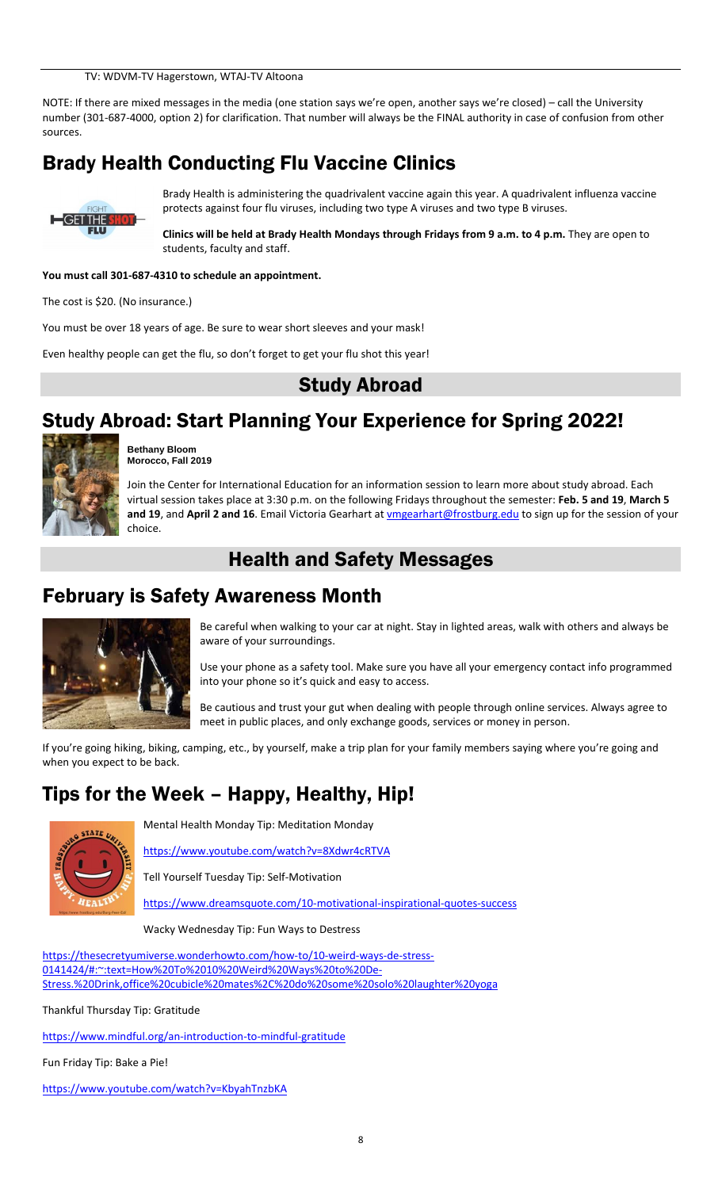TV: WDVM-TV Hagerstown, WTAJ-TV Altoona

NOTE: If there are mixed messages in the media (one station says we're open, another says we're closed) – call the University number (301-687-4000, option 2) for clarification. That number will always be the FINAL authority in case of confusion from other sources.

# Brady Health Conducting Flu Vaccine Clinics



Brady Health is administering the quadrivalent vaccine again this year. A quadrivalent influenza vaccine protects against four flu viruses, including two type A viruses and two type B viruses.

**Clinics will be held at Brady Health Mondays through Fridays from 9 a.m. to 4 p.m.** They are open to students, faculty and staff.

#### **You must call 301-687-4310 to schedule an appointment.**

The cost is \$20. (No insurance.)

You must be over 18 years of age. Be sure to wear short sleeves and your mask!

Even healthy people can get the flu, so don't forget to get your flu shot this year!

### Study Abroad

# Study Abroad: Start Planning Your Experience for Spring 2022!



**Bethany Bloom Morocco, Fall 2019**

Join the Center for International Education for an information session to learn more about study abroad. Each virtual session takes place at 3:30 p.m. on the following Fridays throughout the semester: **Feb. 5 and 19**, **March 5**  and 19, and April 2 and 16. Email Victoria Gearhart at **umgearhart@frostburg.edu** to sign up for the session of your choice.

### Health and Safety Messages

### February is Safety Awareness Month



Be careful when walking to your car at night. Stay in lighted areas, walk with others and always be aware of your surroundings.

Use your phone as a safety tool. Make sure you have all your emergency contact info programmed into your phone so it's quick and easy to access.

Be cautious and trust your gut when dealing with people through online services. Always agree to meet in public places, and only exchange goods, services or money in person.

If you're going hiking, biking, camping, etc., by yourself, make a trip plan for your family members saying where you're going and when you expect to be back.

### Tips for the Week – Happy, Healthy, Hip!



Mental Health Monday Tip: Meditation Monday

<https://www.youtube.com/watch?v=8Xdwr4cRTVA>

Tell Yourself Tuesday Tip: Self-Motivation

<https://www.dreamsquote.com/10-motivational-inspirational-quotes-success>

Wacky Wednesday Tip: Fun Ways to Destress

[https://thesecretyumiverse.wonderhowto.com/how-to/10-weird-ways-de-stress-](https://thesecretyumiverse.wonderhowto.com/how-to/10-weird-ways-de-stress-0141424/#:~:text=How%20To%2010%20Weird%20Ways%20to%20De-Stress.%20Drink,office%20cubicle%20mates%2C%20do%20some%20solo%20laughter%20yoga)[0141424/#:~:text=How%20To%2010%20Weird%20Ways%20to%20De-](https://thesecretyumiverse.wonderhowto.com/how-to/10-weird-ways-de-stress-0141424/#:~:text=How%20To%2010%20Weird%20Ways%20to%20De-Stress.%20Drink,office%20cubicle%20mates%2C%20do%20some%20solo%20laughter%20yoga)[Stress.%20Drink,office%20cubicle%20mates%2C%20do%20some%20solo%20laughter%20yoga](https://thesecretyumiverse.wonderhowto.com/how-to/10-weird-ways-de-stress-0141424/#:~:text=How%20To%2010%20Weird%20Ways%20to%20De-Stress.%20Drink,office%20cubicle%20mates%2C%20do%20some%20solo%20laughter%20yoga)

Thankful Thursday Tip: Gratitude

<https://www.mindful.org/an-introduction-to-mindful-gratitude>

Fun Friday Tip: Bake a Pie!

<https://www.youtube.com/watch?v=KbyahTnzbKA>